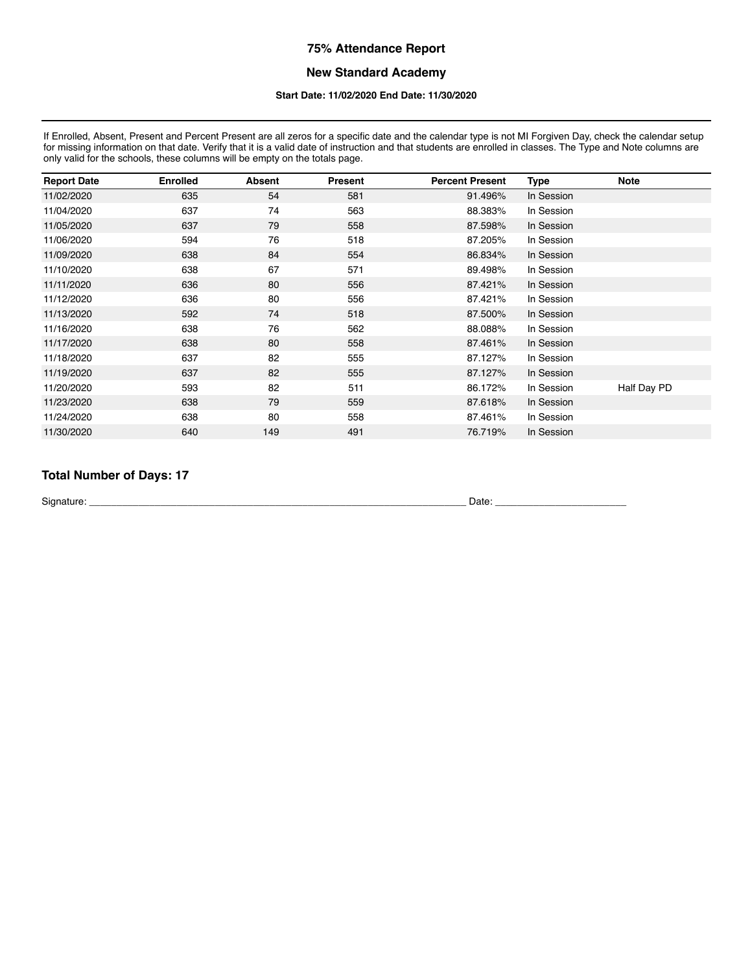#### **New Standard Academy**

#### **Start Date: 11/02/2020 End Date: 11/30/2020**

If Enrolled, Absent, Present and Percent Present are all zeros for a specific date and the calendar type is not MI Forgiven Day, check the calendar setup for missing information on that date. Verify that it is a valid date of instruction and that students are enrolled in classes. The Type and Note columns are only valid for the schools, these columns will be empty on the totals page.

| <b>Report Date</b> | <b>Enrolled</b> | <b>Absent</b> | Present | <b>Percent Present</b> | Type       | <b>Note</b> |
|--------------------|-----------------|---------------|---------|------------------------|------------|-------------|
| 11/02/2020         | 635             | 54            | 581     | 91.496%                | In Session |             |
| 11/04/2020         | 637             | 74            | 563     | 88.383%                | In Session |             |
| 11/05/2020         | 637             | 79            | 558     | 87.598%                | In Session |             |
| 11/06/2020         | 594             | 76            | 518     | 87.205%                | In Session |             |
| 11/09/2020         | 638             | 84            | 554     | 86.834%                | In Session |             |
| 11/10/2020         | 638             | 67            | 571     | 89.498%                | In Session |             |
| 11/11/2020         | 636             | 80            | 556     | 87.421%                | In Session |             |
| 11/12/2020         | 636             | 80            | 556     | 87.421%                | In Session |             |
| 11/13/2020         | 592             | 74            | 518     | 87.500%                | In Session |             |
| 11/16/2020         | 638             | 76            | 562     | 88.088%                | In Session |             |
| 11/17/2020         | 638             | 80            | 558     | 87.461%                | In Session |             |
| 11/18/2020         | 637             | 82            | 555     | 87.127%                | In Session |             |
| 11/19/2020         | 637             | 82            | 555     | 87.127%                | In Session |             |
| 11/20/2020         | 593             | 82            | 511     | 86.172%                | In Session | Half Day PD |
| 11/23/2020         | 638             | 79            | 559     | 87.618%                | In Session |             |
| 11/24/2020         | 638             | 80            | 558     | 87.461%                | In Session |             |
| 11/30/2020         | 640             | 149           | 491     | 76.719%                | In Session |             |

# **Total Number of Days: 17**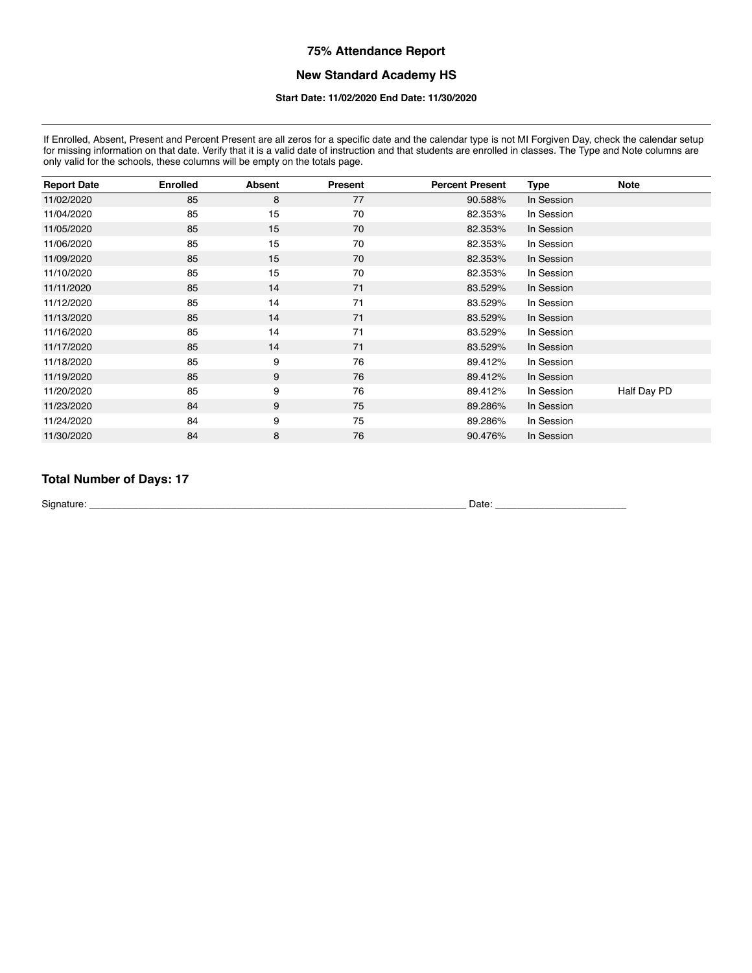# **New Standard Academy HS**

#### **Start Date: 11/02/2020 End Date: 11/30/2020**

If Enrolled, Absent, Present and Percent Present are all zeros for a specific date and the calendar type is not MI Forgiven Day, check the calendar setup for missing information on that date. Verify that it is a valid date of instruction and that students are enrolled in classes. The Type and Note columns are for missing information on that date. Verify that it is a valid d only valid for the schools, these columns will be empty on the totals page.

| <b>Report Date</b> | <b>Enrolled</b> | <b>Absent</b> | Present | <b>Percent Present</b> | Type       | <b>Note</b> |
|--------------------|-----------------|---------------|---------|------------------------|------------|-------------|
| 11/02/2020         | 85              | 8             | 77      | 90.588%                | In Session |             |
| 11/04/2020         | 85              | 15            | 70      | 82.353%                | In Session |             |
| 11/05/2020         | 85              | 15            | 70      | 82.353%                | In Session |             |
| 11/06/2020         | 85              | 15            | 70      | 82.353%                | In Session |             |
| 11/09/2020         | 85              | 15            | 70      | 82.353%                | In Session |             |
| 11/10/2020         | 85              | 15            | 70      | 82.353%                | In Session |             |
| 11/11/2020         | 85              | 14            | 71      | 83.529%                | In Session |             |
| 11/12/2020         | 85              | 14            | 71      | 83.529%                | In Session |             |
| 11/13/2020         | 85              | 14            | 71      | 83.529%                | In Session |             |
| 11/16/2020         | 85              | 14            | 71      | 83.529%                | In Session |             |
| 11/17/2020         | 85              | 14            | 71      | 83.529%                | In Session |             |
| 11/18/2020         | 85              | 9             | 76      | 89.412%                | In Session |             |
| 11/19/2020         | 85              | 9             | 76      | 89.412%                | In Session |             |
| 11/20/2020         | 85              | 9             | 76      | 89.412%                | In Session | Half Day PD |
| 11/23/2020         | 84              | 9             | 75      | 89.286%                | In Session |             |
| 11/24/2020         | 84              | 9             | 75      | 89.286%                | In Session |             |
| 11/30/2020         | 84              | 8             | 76      | 90.476%                | In Session |             |

# **Total Number of Days: 17**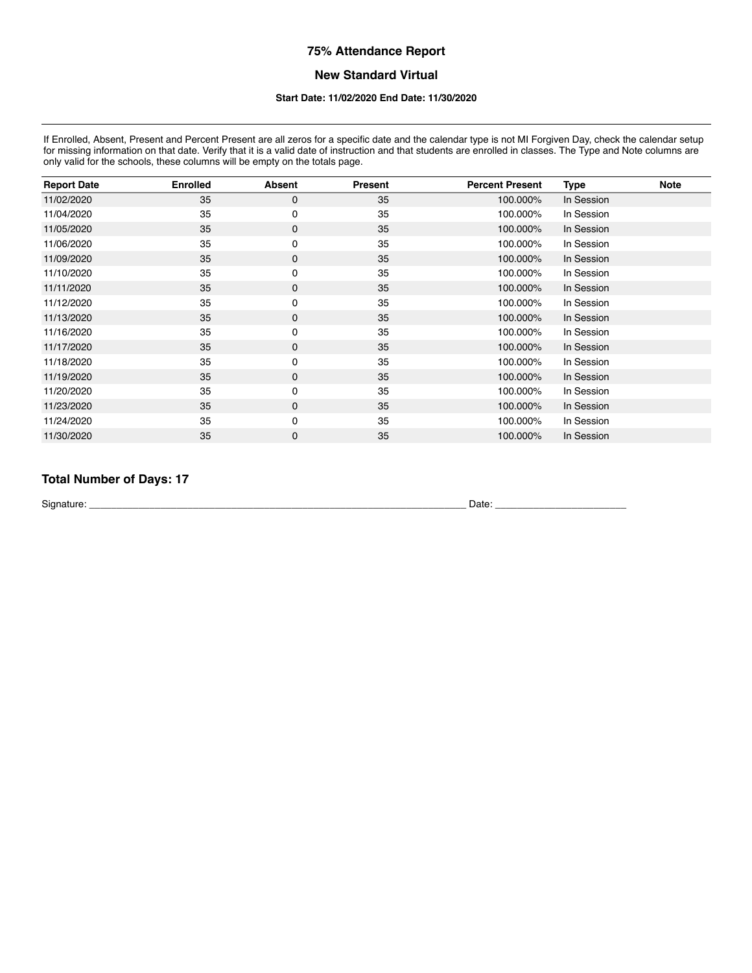## **New Standard Virtual**

#### **Start Date: 11/02/2020 End Date: 11/30/2020**

If Enrolled, Absent, Present and Percent Present are all zeros for a specific date and the calendar type is not MI Forgiven Day, check the calendar setup for missing information on that date. Verify that it is a valid date of instruction and that students are enrolled in classes. The Type and Note columns are for missing information on that date. Verify that it is a valid d only valid for the schools, these columns will be empty on the totals page.

| <b>Report Date</b> | <b>Enrolled</b> | <b>Absent</b> | Present | <b>Percent Present</b> | <b>Type</b> | <b>Note</b> |
|--------------------|-----------------|---------------|---------|------------------------|-------------|-------------|
| 11/02/2020         | 35              | 0             | 35      | 100.000%               | In Session  |             |
| 11/04/2020         | 35              | 0             | 35      | 100.000%               | In Session  |             |
| 11/05/2020         | 35              | 0             | 35      | 100.000%               | In Session  |             |
| 11/06/2020         | 35              | 0             | 35      | 100.000%               | In Session  |             |
| 11/09/2020         | 35              | $\pmb{0}$     | 35      | 100.000%               | In Session  |             |
| 11/10/2020         | 35              | 0             | 35      | 100.000%               | In Session  |             |
| 11/11/2020         | 35              | 0             | 35      | 100.000%               | In Session  |             |
| 11/12/2020         | 35              | 0             | 35      | 100.000%               | In Session  |             |
| 11/13/2020         | 35              | 0             | 35      | 100.000%               | In Session  |             |
| 11/16/2020         | 35              | 0             | 35      | 100.000%               | In Session  |             |
| 11/17/2020         | 35              | $\pmb{0}$     | 35      | 100.000%               | In Session  |             |
| 11/18/2020         | 35              | 0             | 35      | 100.000%               | In Session  |             |
| 11/19/2020         | 35              | $\pmb{0}$     | 35      | 100.000%               | In Session  |             |
| 11/20/2020         | 35              | 0             | 35      | 100.000%               | In Session  |             |
| 11/23/2020         | 35              | 0             | 35      | 100.000%               | In Session  |             |
| 11/24/2020         | 35              | 0             | 35      | 100.000%               | In Session  |             |
| 11/30/2020         | 35              | $\pmb{0}$     | 35      | 100.000%               | In Session  |             |

## **Total Number of Days: 17**